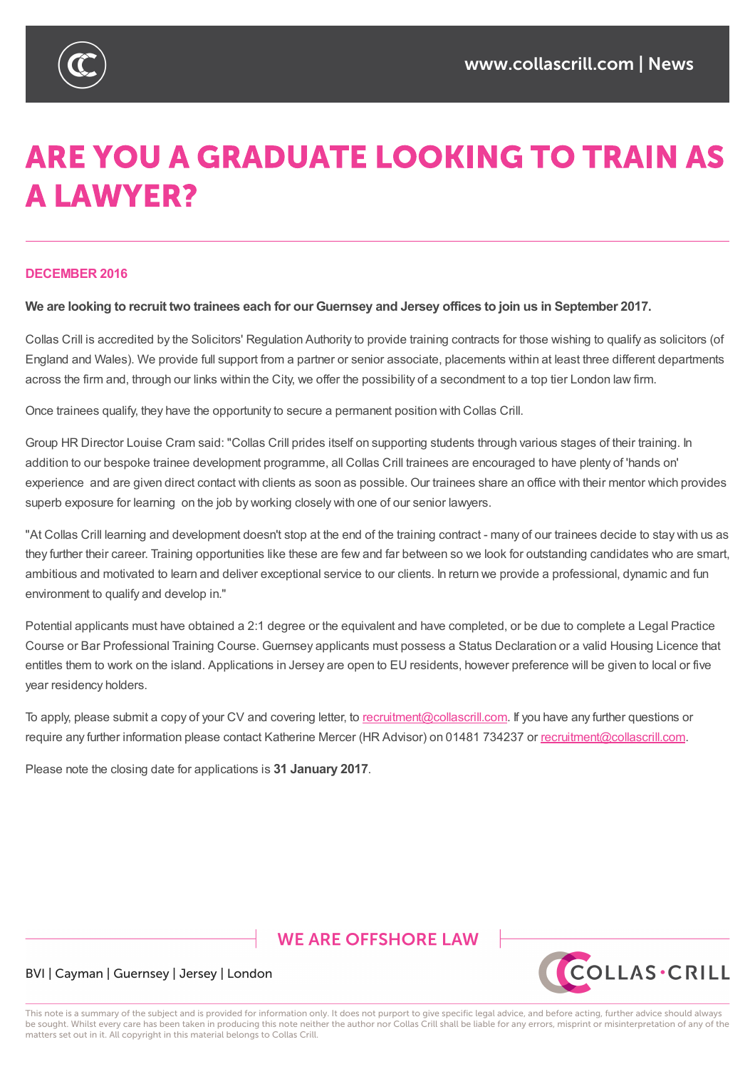

# **ARE YOU A GRADUATE LOOKING TO TRAIN AS A LAWYER?**

#### **DECEMBER 2016**

#### We are looking to recruit two trainees each for our Guernsey and Jersey offices to join us in September 2017.

Collas Crill is accredited by the Solicitors' Regulation Authority to provide training contracts for those wishing to qualify as solicitors (of England and Wales). We provide full support from a partner or senior associate, placements within at least three different departments across the firm and, through our links within the City, we offer the possibility of a secondment to a top tier London law firm.

Once trainees qualify, they have the opportunity to secure a permanent position with Collas Crill.

Group HR Director Louise Cram said: "Collas Crill prides itself on supporting students through various stages of their training. In addition to our bespoke trainee development programme, all Collas Crill trainees are encouraged to have plenty of 'hands on' experience and are given direct contact with clients as soon as possible. Our trainees share an office with their mentor which provides superb exposure for learning on the job by working closely with one of our senior lawyers.

"At Collas Crill learning and development doesn't stop at the end of the training contract - many of our trainees decide to stay with us as they further their career. Training opportunities like these are few and far between so we look for outstanding candidates who are smart, ambitious and motivated to learn and deliver exceptional service to our clients. In return we provide a professional, dynamic and fun environment to qualify and develop in."

Potential applicants must have obtained a 2:1 degree or the equivalent and have completed, or be due to complete a Legal Practice Course or Bar Professional Training Course. Guernsey applicants must possess a Status Declaration or a valid Housing Licence that entitles them to work on the island. Applications in Jersey are open to EU residents, however preference will be given to local or five year residency holders.

To apply, please submit a copy of your CV and covering letter, to recruitment@collascrill.com. If you have any further questions or require any further information please contact Katherine Mercer (HR Advisor) on 01481 734237 or recruitment@collascrill.com.

Please note the closing date for applications is **31 January 201[7](mailto:recruitment@collascrill.com)**.

## **WE ARE OFFSHORE LAW**



### BVI | Cayman | Guernsey | Jersey | London

This note is a summary of the subject and is provided for information only. It does not purport to give specific legal advice, and before acting, further advice should always be sought. Whilst every care has been taken in producing this note neither the author nor Collas Crill shall be liable for any errors, misprint or misinterpretation of any of the matters set out in it. All copyright in this material belongs to Collas Crill.